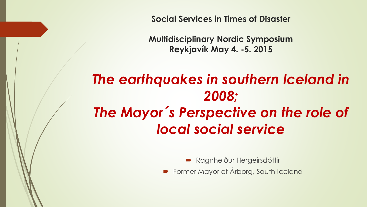**Social Services in Times of Disaster**

**Multidisciplinary Nordic Symposium Reykjavík May 4. -5. 2015**

# *The earthquakes in southern Iceland in 2008; The Mayor´ s Perspective on the role of local social service*

- Ragnheiður Hergeirsdóttir
- **Former Mayor of Árborg, South Iceland**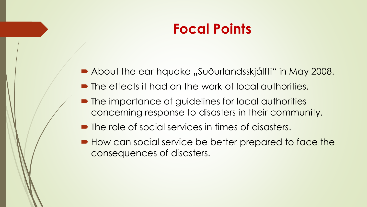## **Focal Points**

- About the earthquake "Suðurlandsskjálfti" in May 2008.
- $\blacksquare$  The effects it had on the work of local authorities.
- **The importance of guidelines for local authorities** concerning response to disasters in their community.
- $\blacksquare$  The role of social services in times of disasters.
- $\blacktriangleright$  How can social service be better prepared to face the consequences of disasters.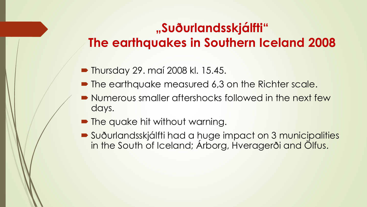## **"Suðurlandsskjálfti" The earthquakes in Southern Iceland 2008**

- **Thursday 29. maí 2008 kl. 15.45.**
- The earthquake measured 6,3 on the Richter scale.
- **Numerous smaller aftershocks followed in the next few** days.
- The quake hit without warning.
- Suðurlandsskjálfti had a huge impact on 3 municipalities in the South of Iceland; Árborg, Hveragerði and Ölfus.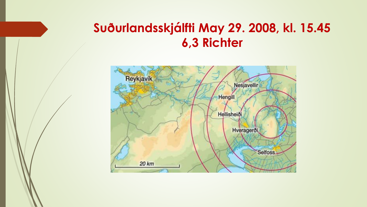### **Suðurlandsskjálfti May 29. 2008, kl. 15.45 6,3 Richter**

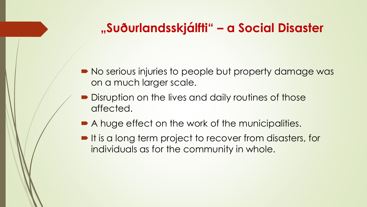### **"Suðurlandsskjálfti" – a Social Disaster**

- No serious injuries to people but property damage was on a much larger scale.
- Disruption on the lives and daily routines of those affected.
- A huge effect on the work of the municipalities.
- It is a long term project to recover from disasters, for individuals as for the community in whole.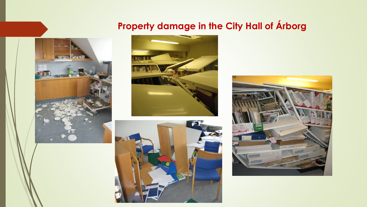#### **Property damage in the City Hall of Árborg**







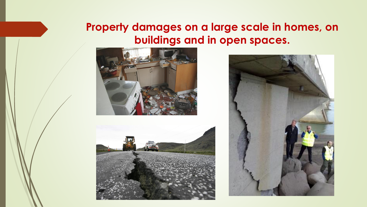#### **Property damages on a large scale in homes, on buildings and in open spaces.**





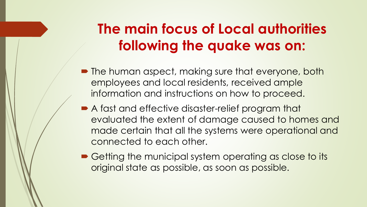# **The main focus of Local authorities following the quake was on:**

- The human aspect, making sure that everyone, both employees and local residents, received ample information and instructions on how to proceed.
- A fast and effective disaster-relief program that evaluated the extent of damage caused to homes and made certain that all the systems were operational and connected to each other.
- Getting the municipal system operating as close to its original state as possible, as soon as possible.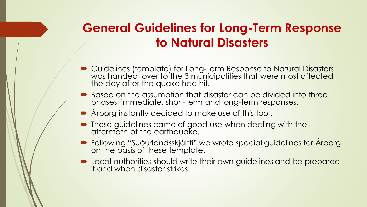## **General Guidelines for Long-Term Response to Natural Disasters**

- Guidelines (template) for Long-Term Response to Natural Disasters was handed over to the 3 municipalities that were most affected, the day after the quake had hit.
- **B**ased on the assumption that disaster can be divided into three phases; immediate, short-term and long-term responses.
- Árborg instantly decided to make use of this tool.
- Those guidelines came of good use when dealing with the aftermath of the earthquake.
- Following "Suðurlandsskjálfti" we wrote special guidelines for Árborg on the basis of these template.
- Local authorities should write their own guidelines and be prepared if and when disaster strikes.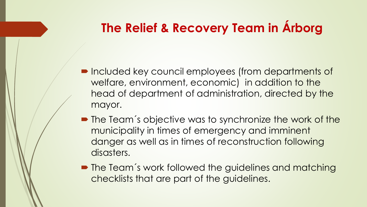## **The Relief & Recovery Team in Árborg**

- Included key council employees (from departments of welfare, environment, economic) in addition to the head of department of administration, directed by the mayor.
- The Team's objective was to synchronize the work of the municipality in times of emergency and imminent danger as well as in times of reconstruction following disasters.
- The Team's work followed the guidelines and matching checklists that are part of the guidelines.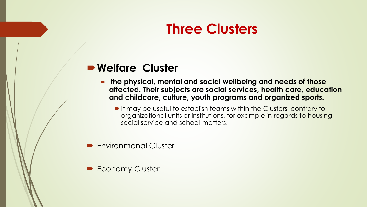## **Three Clusters**

#### **Welfare Cluster**

- **the physical, mental and social wellbeing and needs of those affected. Their subjects are social services, health care, education and childcare, culture, youth programs and organized sports.** 
	- It may be useful to establish teams within the Clusters, contrary to organizational units or institutions, for example in regards to housing, social service and school-matters.
- **Environmenal Cluster**
- **Economy Cluster**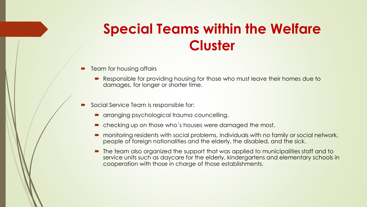## **Special Teams within the Welfare Cluster**

- Team for housing affairs
	- Responsible for providing housing for those who must leave their homes due to damages, for longer or shorter time.
- Social Service Team is responsible for:
	- **arranging psychological trauma councelling,**
	- checking up on those who's houses were damaged the most,
	- monitoring residents with social problems, individuals with no family or social network, people of foreign nationalities and the elderly, the disabled, and the sick.
	- The team also organized the support that was applied to municipalities staff and to service units such as daycare for the elderly, kindergartens and elementary schools in cooperation with those in charge of those establishments.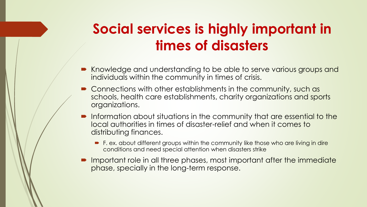# **Social services is highly important in times of disasters**

- Knowledge and understanding to be able to serve various groups and individuals within the community in times of crisis.
- Connections with other establishments in the community, such as schools, health care establishments, charity organizations and sports organizations.
- Information about situations in the community that are essential to the local authorities in times of disaster-relief and when it comes to distributing finances.
	- **F. ex. about different groups within the community like those who are living in dire** conditions and need special attention when disasters strike
- Important role in all three phases, most important after the immediate phase, specially in the long-term response.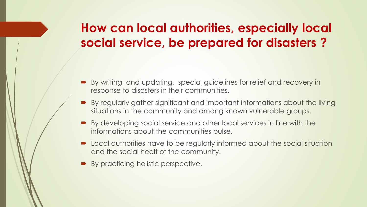## **How can local authorities, especially local social service, be prepared for disasters ?**

- By writing, and updating, special guidelines for relief and recovery in response to disasters in their communities.
- By regularly gather significant and important informations about the living situations in the community and among known vulnerable groups.
- By developing social service and other local services in line with the informations about the communities pulse.
- **•** Local authorities have to be regularly informed about the social situation and the social healt of the community.
- By practicing holistic perspective.